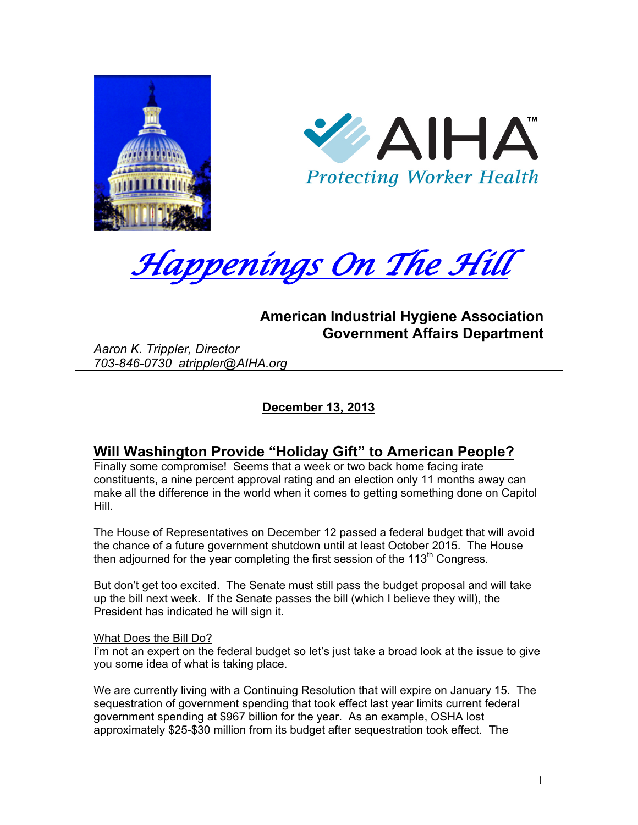





# **American Industrial Hygiene Association Government Affairs Department**

*Aaron K. Trippler, Director 703-846-0730 atrippler@AIHA.org* 

**December 13, 2013** 

# **Will Washington Provide "Holiday Gift" to American People?**

Finally some compromise! Seems that a week or two back home facing irate constituents, a nine percent approval rating and an election only 11 months away can make all the difference in the world when it comes to getting something done on Capitol Hill.

The House of Representatives on December 12 passed a federal budget that will avoid the chance of a future government shutdown until at least October 2015. The House then adjourned for the year completing the first session of the 113<sup>th</sup> Congress.

But don't get too excited. The Senate must still pass the budget proposal and will take up the bill next week. If the Senate passes the bill (which I believe they will), the President has indicated he will sign it.

### What Does the Bill Do?

I'm not an expert on the federal budget so let's just take a broad look at the issue to give you some idea of what is taking place.

We are currently living with a Continuing Resolution that will expire on January 15. The sequestration of government spending that took effect last year limits current federal government spending at \$967 billion for the year. As an example, OSHA lost approximately \$25-\$30 million from its budget after sequestration took effect. The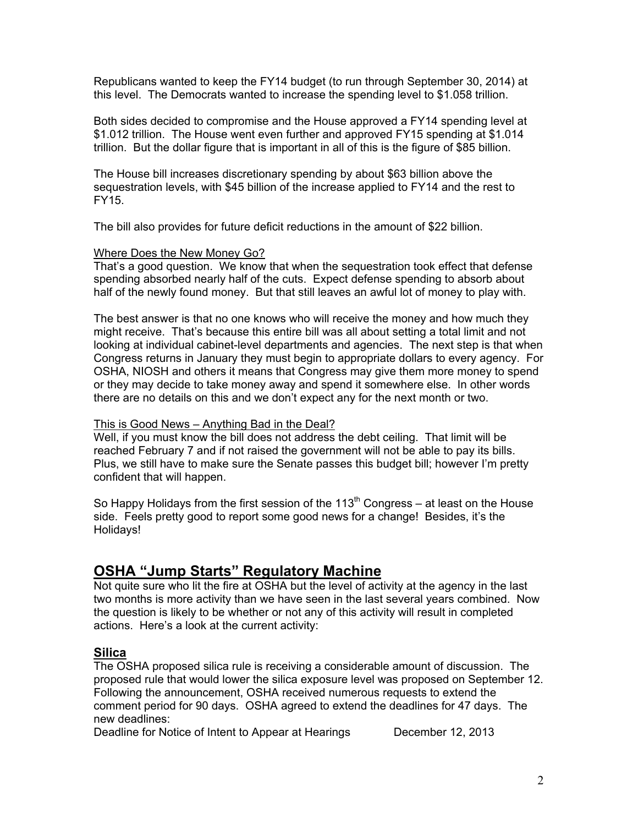Republicans wanted to keep the FY14 budget (to run through September 30, 2014) at this level. The Democrats wanted to increase the spending level to \$1.058 trillion.

Both sides decided to compromise and the House approved a FY14 spending level at \$1.012 trillion. The House went even further and approved FY15 spending at \$1.014 trillion. But the dollar figure that is important in all of this is the figure of \$85 billion.

The House bill increases discretionary spending by about \$63 billion above the sequestration levels, with \$45 billion of the increase applied to FY14 and the rest to FY15.

The bill also provides for future deficit reductions in the amount of \$22 billion.

#### Where Does the New Money Go?

That's a good question. We know that when the sequestration took effect that defense spending absorbed nearly half of the cuts. Expect defense spending to absorb about half of the newly found money. But that still leaves an awful lot of money to play with.

The best answer is that no one knows who will receive the money and how much they might receive. That's because this entire bill was all about setting a total limit and not looking at individual cabinet-level departments and agencies. The next step is that when Congress returns in January they must begin to appropriate dollars to every agency. For OSHA, NIOSH and others it means that Congress may give them more money to spend or they may decide to take money away and spend it somewhere else. In other words there are no details on this and we don't expect any for the next month or two.

#### This is Good News – Anything Bad in the Deal?

Well, if you must know the bill does not address the debt ceiling. That limit will be reached February 7 and if not raised the government will not be able to pay its bills. Plus, we still have to make sure the Senate passes this budget bill; however I'm pretty confident that will happen.

So Happy Holidays from the first session of the 113<sup>th</sup> Congress – at least on the House side. Feels pretty good to report some good news for a change! Besides, it's the Holidays!

# **OSHA "Jump Starts" Regulatory Machine**

Not quite sure who lit the fire at OSHA but the level of activity at the agency in the last two months is more activity than we have seen in the last several years combined. Now the question is likely to be whether or not any of this activity will result in completed actions. Here's a look at the current activity:

# **Silica**

The OSHA proposed silica rule is receiving a considerable amount of discussion. The proposed rule that would lower the silica exposure level was proposed on September 12. Following the announcement, OSHA received numerous requests to extend the comment period for 90 days. OSHA agreed to extend the deadlines for 47 days. The new deadlines:

Deadline for Notice of Intent to Appear at Hearings December 12, 2013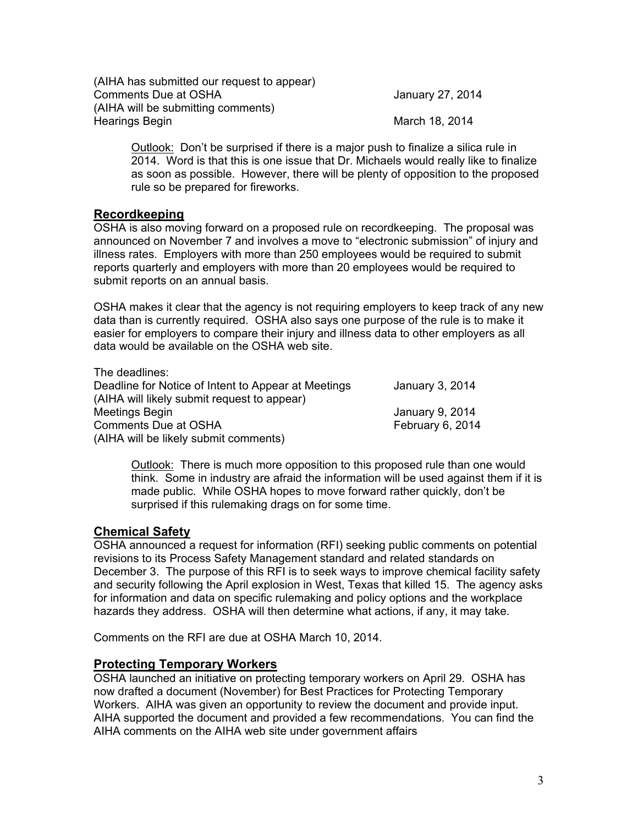| (AIHA has submitted our request to appear) |                  |
|--------------------------------------------|------------------|
| <b>Comments Due at OSHA</b>                | January 27, 2014 |
| (AIHA will be submitting comments)         |                  |
| Hearings Begin                             | March 18, 2014   |

Outlook: Don't be surprised if there is a major push to finalize a silica rule in 2014. Word is that this is one issue that Dr. Michaels would really like to finalize as soon as possible. However, there will be plenty of opposition to the proposed rule so be prepared for fireworks.

## **Recordkeeping**

OSHA is also moving forward on a proposed rule on recordkeeping. The proposal was announced on November 7 and involves a move to "electronic submission" of injury and illness rates. Employers with more than 250 employees would be required to submit reports quarterly and employers with more than 20 employees would be required to submit reports on an annual basis.

OSHA makes it clear that the agency is not requiring employers to keep track of any new data than is currently required. OSHA also says one purpose of the rule is to make it easier for employers to compare their injury and illness data to other employers as all data would be available on the OSHA web site.

| The deadlines:                                      |                  |
|-----------------------------------------------------|------------------|
| Deadline for Notice of Intent to Appear at Meetings | January 3, 2014  |
| (AIHA will likely submit request to appear)         |                  |
| Meetings Begin                                      | January 9, 2014  |
| Comments Due at OSHA                                | February 6, 2014 |
| (AIHA will be likely submit comments)               |                  |

Outlook: There is much more opposition to this proposed rule than one would think. Some in industry are afraid the information will be used against them if it is made public. While OSHA hopes to move forward rather quickly, don't be surprised if this rulemaking drags on for some time.

# **Chemical Safety**

OSHA announced a request for information (RFI) seeking public comments on potential revisions to its Process Safety Management standard and related standards on December 3. The purpose of this RFI is to seek ways to improve chemical facility safety and security following the April explosion in West, Texas that killed 15. The agency asks for information and data on specific rulemaking and policy options and the workplace hazards they address. OSHA will then determine what actions, if any, it may take.

Comments on the RFI are due at OSHA March 10, 2014.

# **Protecting Temporary Workers**

OSHA launched an initiative on protecting temporary workers on April 29. OSHA has now drafted a document (November) for Best Practices for Protecting Temporary Workers. AIHA was given an opportunity to review the document and provide input. AIHA supported the document and provided a few recommendations. You can find the AIHA comments on the AIHA web site under government affairs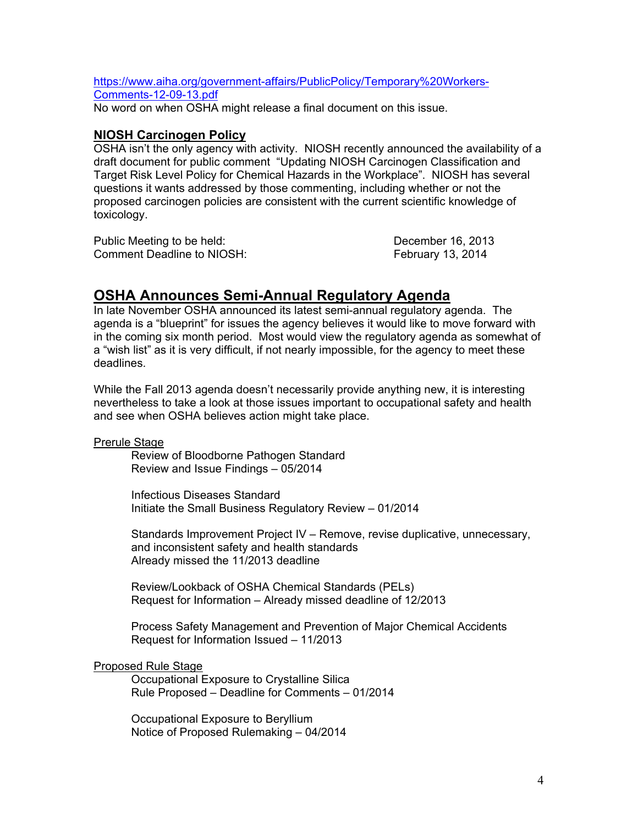https://www.aiha.org/government-affairs/PublicPolicy/Temporary%20Workers-Comments-12-09-13.pdf

No word on when OSHA might release a final document on this issue.

## **NIOSH Carcinogen Policy**

OSHA isn't the only agency with activity. NIOSH recently announced the availability of a draft document for public comment "Updating NIOSH Carcinogen Classification and Target Risk Level Policy for Chemical Hazards in the Workplace". NIOSH has several questions it wants addressed by those commenting, including whether or not the proposed carcinogen policies are consistent with the current scientific knowledge of toxicology.

Public Meeting to be held: December 16, 2013 Comment Deadline to NIOSH: February 13, 2014

# **OSHA Announces Semi-Annual Regulatory Agenda**

In late November OSHA announced its latest semi-annual regulatory agenda. The agenda is a "blueprint" for issues the agency believes it would like to move forward with in the coming six month period. Most would view the regulatory agenda as somewhat of a "wish list" as it is very difficult, if not nearly impossible, for the agency to meet these deadlines.

While the Fall 2013 agenda doesn't necessarily provide anything new, it is interesting nevertheless to take a look at those issues important to occupational safety and health and see when OSHA believes action might take place.

Prerule Stage

Review of Bloodborne Pathogen Standard Review and Issue Findings – 05/2014

Infectious Diseases Standard Initiate the Small Business Regulatory Review – 01/2014

Standards Improvement Project IV – Remove, revise duplicative, unnecessary, and inconsistent safety and health standards Already missed the 11/2013 deadline

Review/Lookback of OSHA Chemical Standards (PELs) Request for Information – Already missed deadline of 12/2013

Process Safety Management and Prevention of Major Chemical Accidents Request for Information Issued – 11/2013

### Proposed Rule Stage

Occupational Exposure to Crystalline Silica Rule Proposed – Deadline for Comments – 01/2014

Occupational Exposure to Beryllium Notice of Proposed Rulemaking – 04/2014